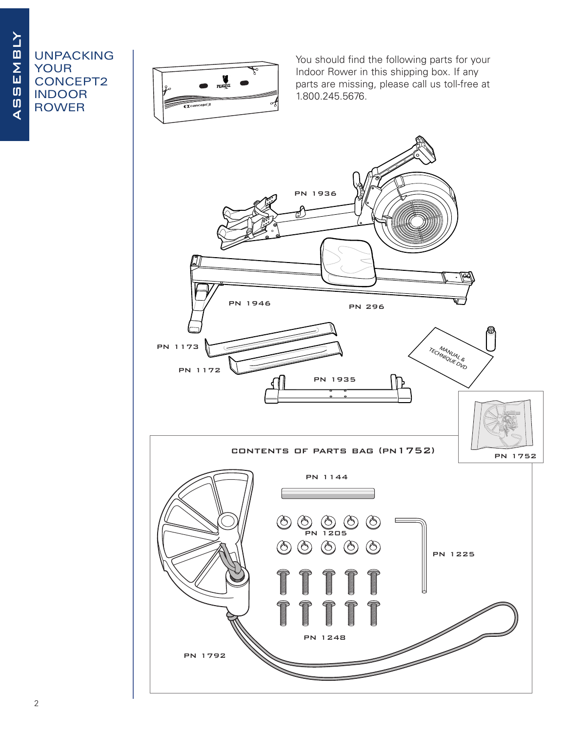## AS<br> **ASSEMBLYOUR<br>ASSEMBLYOUR<br>
ASSEMBLY<br>
ASSEMBLY<br>
ASSEMBLY<br>
ASSEMBLY<br>
ASSEMBLY<br>
ASSEMBLY<br>
ASSEMBLY<br>
ASSEMBLY<br>
ADVER** your concept2 indoor rower



You should find the following parts for your Indoor Rower in this shipping box. If any parts are missing, please call us toll-free at 1.800.245.5676.

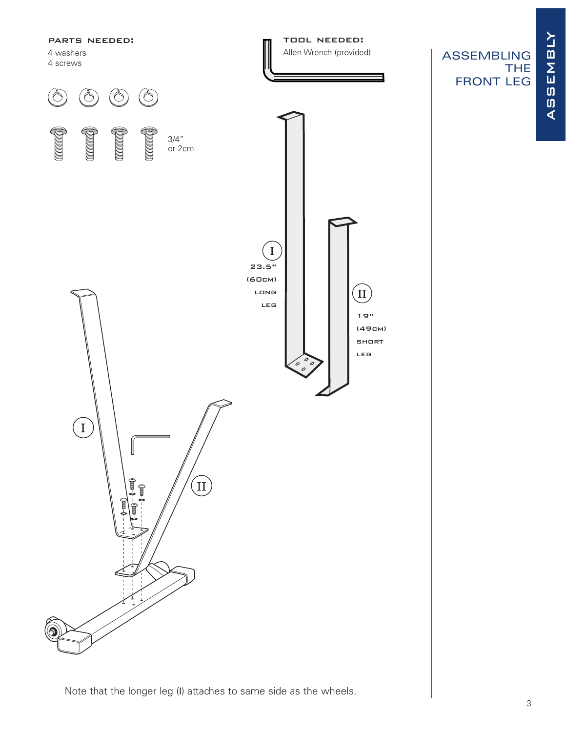

Note that the longer leg (I) attaches to same side as the wheels.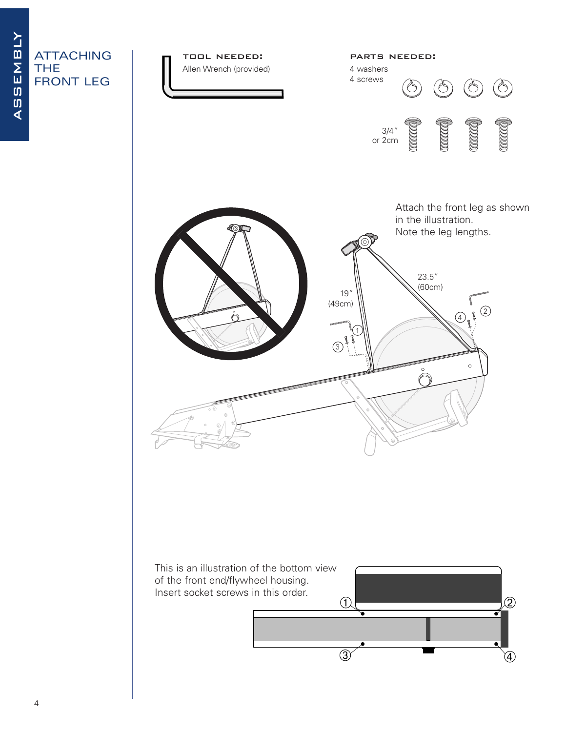## ATTACHING THE FRONT LEG

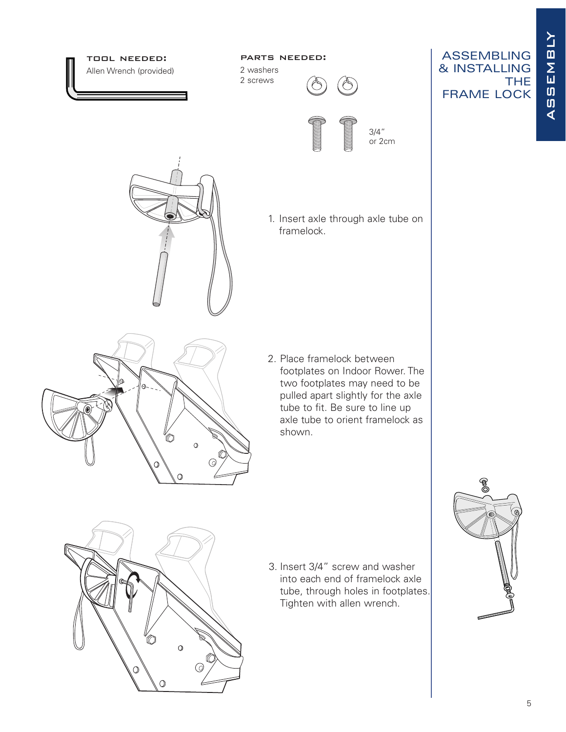ASSEMBLY assembly

**THE** 



 $\Omega$ 

 $\overline{O}$ 

∩

 $\odot$ 

into each end of framelock axle tube, through holes in footplates. Tighten with allen wrench.

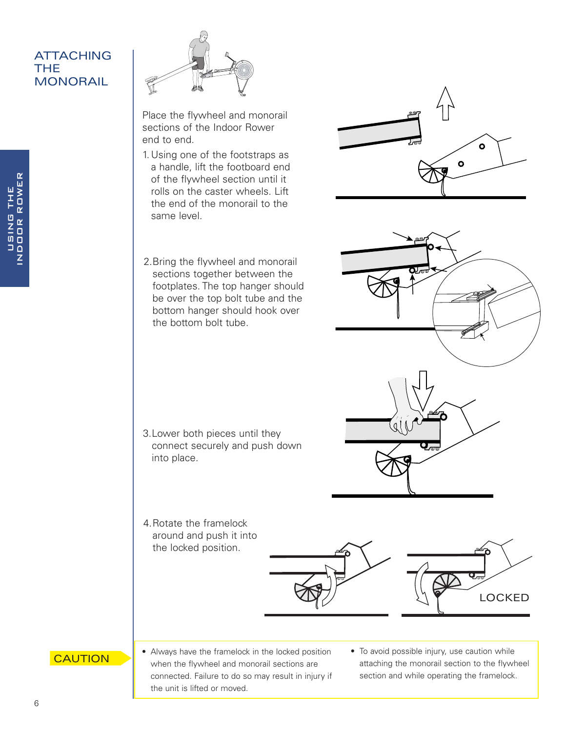## ATTACHING THE **MONORAIL**



Place the flywheel and monorail sections of the Indoor Rower end to end.

1. Using one of the footstraps as a handle, lift the footboard end of the flywheel section until it rolls on the caster wheels. Lift the end of the monorail to the same level.



2.Bring the flywheel and monorail sections together between the footplates. The top hanger should be over the top bolt tube and the bottom hanger should hook over the bottom bolt tube.

- 3.Lower both pieces until they connect securely and push down into place.
- 4.Rotate the framelock around and push it into the locked position.





- **CAUTION**
- Always have the framelock in the locked position when the flywheel and monorail sections are connected. Failure to do so may result in injury if the unit is lifted or moved.
- To avoid possible injury, use caution while attaching the monorail section to the flywheel section and while operating the framelock.